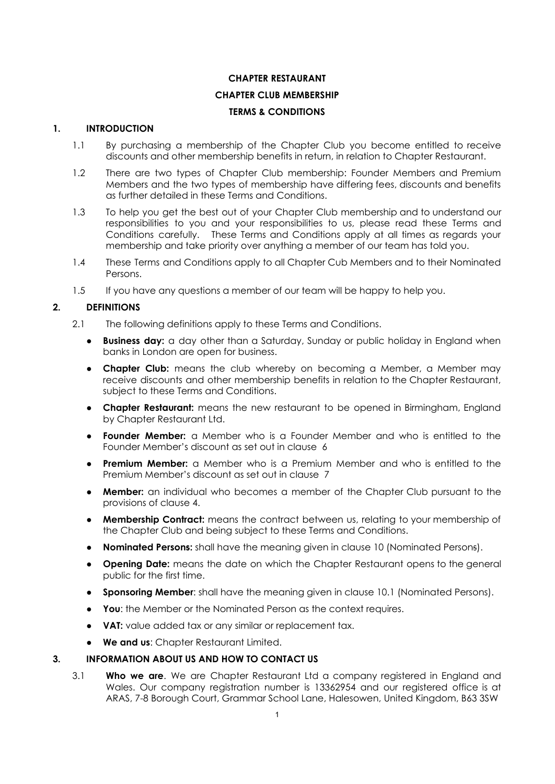## **CHAPTER RESTAURANT**

## **CHAPTER CLUB MEMBERSHIP**

## **TERMS & CONDITIONS**

### **1. INTRODUCTION**

- 1.1 By purchasing a membership of the Chapter Club you become entitled to receive discounts and other membership benefits in return, in relation to Chapter Restaurant.
- 1.2 There are two types of Chapter Club membership: Founder Members and Premium Members and the two types of membership have differing fees, discounts and benefits as further detailed in these Terms and Conditions.
- 1.3 To help you get the best out of your Chapter Club membership and to understand our responsibilities to you and your responsibilities to us, please read these Terms and Conditions carefully. These Terms and Conditions apply at all times as regards your membership and take priority over anything a member of our team has told you.
- 1.4 These Terms and Conditions apply to all Chapter Cub Members and to their Nominated Persons.
- 1.5 If you have any questions a member of our team will be happy to help you.

### **2. DEFINITIONS**

- 2.1 The following definitions apply to these Terms and Conditions.
	- **● Business day:** a day other than a Saturday, Sunday or public holiday in England when banks in London are open for business.
	- **● Chapter Club:** means the club whereby on becoming a Member, a Member may receive discounts and other membership benefits in relation to the Chapter Restaurant, subject to these Terms and Conditions.
	- **Chapter Restaurant:** means the new restaurant to be opened in Birmingham, England by Chapter Restaurant Ltd.
	- **● Founder Member:** a Member who is a Founder Member and who is entitled to the Founder Member's discount as set out in clause 6
	- **● Premium Member:** a Member who is a Premium Member and who is entitled to the Premium Member's discount as set out in clause 7
	- **Member:** an individual who becomes a member of the Chapter Club pursuant to the provisions of clause 4.
	- **Membership Contract:** means the contract between us, relating to your membership of the Chapter Club and being subject to these Terms and Conditions.
	- **● Nominated Persons:** shall have the meaning given in clause 10 (Nominated Persons).
	- **Opening Date:** means the date on which the Chapter Restaurant opens to the general public for the first time.
	- **Sponsoring Member:** shall have the meaning given in clause 10.1 (Nominated Persons).
	- **You**: the Member or the Nominated Person as the context requires.
	- **VAT:** value added tax or any similar or replacement tax.
	- **We and us**: Chapter Restaurant Limited.

### **3. INFORMATION ABOUT US AND HOW TO CONTACT US**

3.1 **Who we are**. We are Chapter Restaurant Ltd a company registered in England and Wales. Our company registration number is 13362954 and our registered office is at ARAS, 7-8 Borough Court, Grammar School Lane, Halesowen, United Kingdom, B63 3SW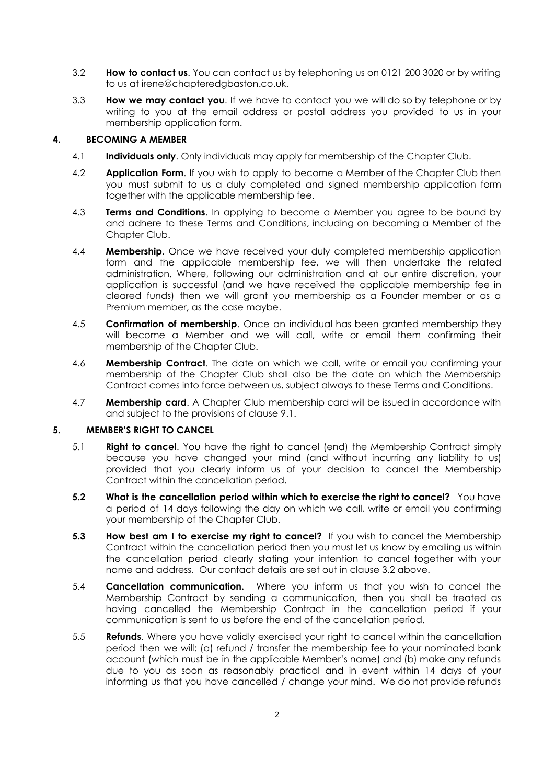- 3.2 **How to contact us**. You can contact us by telephoning us on 0121 200 3020 or by writing to us at irene@chapteredgbaston.co.uk.
- 3.3 **How we may contact you**. If we have to contact you we will do so by telephone or by writing to you at the email address or postal address you provided to us in your membership application form.

### **4. BECOMING A MEMBER**

- 4.1 **Individuals only**. Only individuals may apply for membership of the Chapter Club.
- 4.2 **Application Form**. If you wish to apply to become a Member of the Chapter Club then you must submit to us a duly completed and signed membership application form together with the applicable membership fee.
- 4.3 **Terms and Conditions**. In applying to become a Member you agree to be bound by and adhere to these Terms and Conditions, including on becoming a Member of the Chapter Club.
- 4.4 **Membership**. Once we have received your duly completed membership application form and the applicable membership fee, we will then undertake the related administration. Where, following our administration and at our entire discretion, your application is successful (and we have received the applicable membership fee in cleared funds) then we will grant you membership as a Founder member or as a Premium member, as the case maybe.
- 4.5 **Confirmation of membership**. Once an individual has been granted membership they will become a Member and we will call, write or email them confirming their membership of the Chapter Club.
- 4.6 **Membership Contract**. The date on which we call, write or email you confirming your membership of the Chapter Club shall also be the date on which the Membership Contract comes into force between us, subject always to these Terms and Conditions.
- 4.7 **Membership card**. A Chapter Club membership card will be issued in accordance with and subject to the provisions of clause 9.1.

# **5. MEMBER'S RIGHT TO CANCEL**

- 5.1 **Right to cancel**. You have the right to cancel (end) the Membership Contract simply because you have changed your mind (and without incurring any liability to us) provided that you clearly inform us of your decision to cancel the Membership Contract within the cancellation period.
- **5.2 What is the cancellation period within which to exercise the right to cancel?** You have a period of 14 days following the day on which we call, write or email you confirming your membership of the Chapter Club.
- **5.3 How best am I to exercise my right to cancel?** If you wish to cancel the Membership Contract within the cancellation period then you must let us know by emailing us within the cancellation period clearly stating your intention to cancel together with your name and address. Our contact details are set out in clause 3.2 above.
- 5.4 **Cancellation communication.** Where you inform us that you wish to cancel the Membership Contract by sending a communication, then you shall be treated as having cancelled the Membership Contract in the cancellation period if your communication is sent to us before the end of the cancellation period.
- 5.5 **Refunds**. Where you have validly exercised your right to cancel within the cancellation period then we will: (a) refund / transfer the membership fee to your nominated bank account (which must be in the applicable Member's name) and (b) make any refunds due to you as soon as reasonably practical and in event within 14 days of your informing us that you have cancelled / change your mind. We do not provide refunds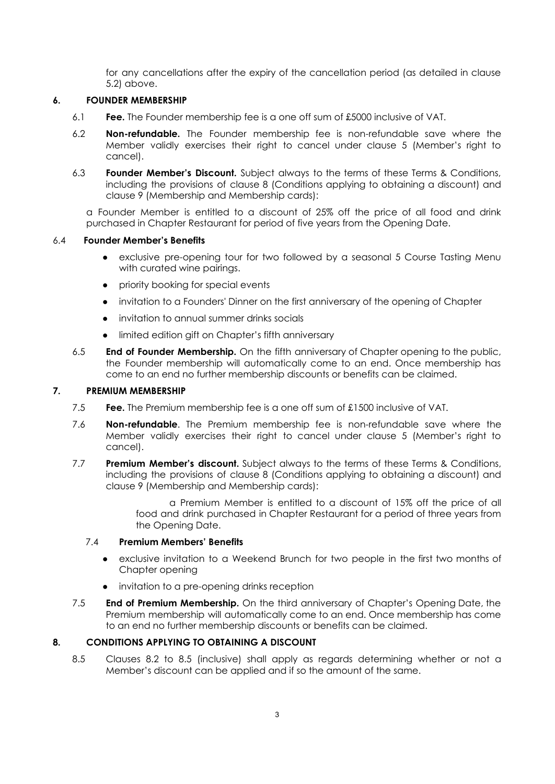for any cancellations after the expiry of the cancellation period (as detailed in clause 5.2) above.

### **6. FOUNDER MEMBERSHIP**

- 6.1 **Fee.** The Founder membership fee is a one off sum of £5000 inclusive of VAT.
- 6.2 **Non-refundable.** The Founder membership fee is non-refundable save where the Member validly exercises their right to cancel under clause 5 (Member's right to cancel).
- 6.3 **Founder Member's Discount.** Subject always to the terms of these Terms & Conditions, including the provisions of clause 8 (Conditions applying to obtaining a discount) and clause 9 (Membership and Membership cards):

a Founder Member is entitled to a discount of 25% off the price of all food and drink purchased in Chapter Restaurant for period of five years from the Opening Date.

## 6.4 **Founder Member's Benefits**

- exclusive pre-opening tour for two followed by a seasonal 5 Course Tasting Menu with curated wine pairings.
- priority booking for special events
- invitation to a Founders' Dinner on the first anniversary of the opening of Chapter
- invitation to annual summer drinks socials
- limited edition gift on Chapter's fifth anniversary
- 6.5 **End of Founder Membership.** On the fifth anniversary of Chapter opening to the public, the Founder membership will automatically come to an end. Once membership has come to an end no further membership discounts or benefits can be claimed.

## **7. PREMIUM MEMBERSHIP**

- 7.5 **Fee.** The Premium membership fee is a one off sum of £1500 inclusive of VAT.
- 7.6 **Non-refundable**. The Premium membership fee is non-refundable save where the Member validly exercises their right to cancel under clause 5 (Member's right to cancel).
- 7.7 **Premium Member's discount.** Subject always to the terms of these Terms & Conditions, including the provisions of clause 8 (Conditions applying to obtaining a discount) and clause 9 (Membership and Membership cards):

a Premium Member is entitled to a discount of 15% off the price of all food and drink purchased in Chapter Restaurant for a period of three years from the Opening Date.

### 7.4 **Premium Members' Benefits**

- exclusive invitation to a Weekend Brunch for two people in the first two months of Chapter opening
- invitation to a pre-opening drinks reception
- 7.5 **End of Premium Membership.** On the third anniversary of Chapter's Opening Date, the Premium membership will automatically come to an end. Once membership has come to an end no further membership discounts or benefits can be claimed.

### **8. CONDITIONS APPLYING TO OBTAINING A DISCOUNT**

8.5 Clauses 8.2 to 8.5 (inclusive) shall apply as regards determining whether or not a Member's discount can be applied and if so the amount of the same.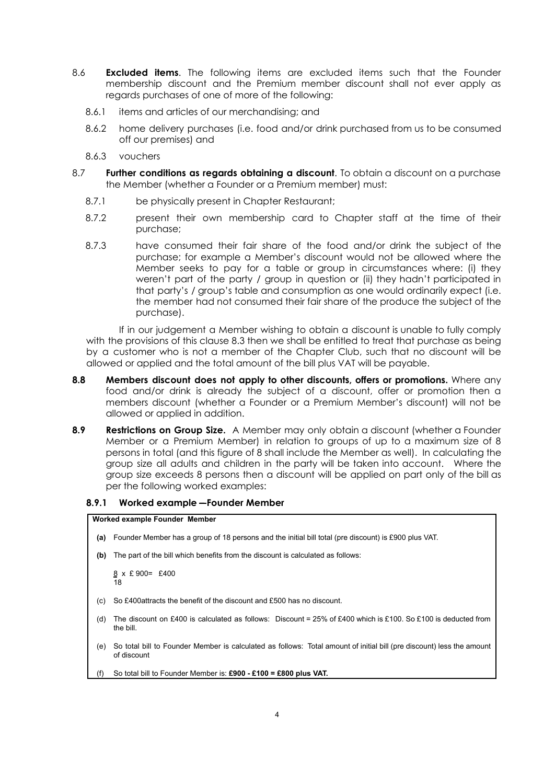- 8.6 **Excluded items**. The following items are excluded items such that the Founder membership discount and the Premium member discount shall not ever apply as regards purchases of one of more of the following:
	- 8.6.1 items and articles of our merchandising; and
	- 8.6.2 home delivery purchases (i.e. food and/or drink purchased from us to be consumed off our premises) and
	- 8.6.3 vouchers
- 8.7 **Further conditions as regards obtaining a discount**. To obtain a discount on a purchase the Member (whether a Founder or a Premium member) must:
	- 8.7.1 be physically present in Chapter Restaurant;
	- 8.7.2 present their own membership card to Chapter staff at the time of their purchase;
	- 8.7.3 have consumed their fair share of the food and/or drink the subject of the purchase; for example a Member's discount would not be allowed where the Member seeks to pay for a table or group in circumstances where: (i) they weren't part of the party / group in question or (ii) they hadn't participated in that party's / group's table and consumption as one would ordinarily expect (i.e. the member had not consumed their fair share of the produce the subject of the purchase).

If in our judgement a Member wishing to obtain a discount is unable to fully comply with the provisions of this clause 8.3 then we shall be entitled to treat that purchase as being by a customer who is not a member of the Chapter Club, such that no discount will be allowed or applied and the total amount of the bill plus VAT will be payable.

- **8.8 Members discount does not apply to other discounts, offers or promotions.** Where any food and/or drink is already the subject of a discount, offer or promotion then a members discount (whether a Founder or a Premium Member's discount) will not be allowed or applied in addition.
- **8.9 Restrictions on Group Size.** A Member may only obtain a discount (whether a Founder Member or a Premium Member) in relation to groups of up to a maximum size of 8 persons in total (and this figure of 8 shall include the Member as well). In calculating the group size all adults and children in the party will be taken into account. Where the group size exceeds 8 persons then a discount will be applied on part only of the bill as per the following worked examples:

#### **8.9.1 Worked example – Founder Member**

#### **Worked example Founder Member**

- **(a)** Founder Member has a group of 18 persons and the initial bill total (pre discount) is £900 plus VAT.
- **(b)** The part of the bill which benefits from the discount is calculated as follows:

8 x £ 900= £400 18

- (c) So £400attracts the benefit of the discount and £500 has no discount.
- (d) The discount on £400 is calculated as follows: Discount = 25% of £400 which is £100. So £100 is deducted from the bill.
- (e) So total bill to Founder Member is calculated as follows: Total amount of initial bill (pre discount) less the amount of discount
- (f) So total bill to Founder Member is: **£900 - £100 = £800 plus VAT.**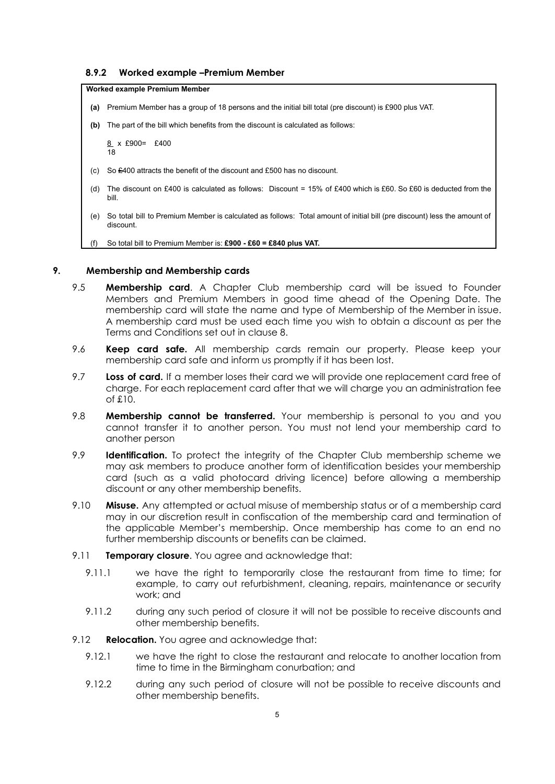#### **8.9.2 Worked example –Premium Member**

#### **Worked example Premium Member**

- **(a)** Premium Member has a group of 18 persons and the initial bill total (pre discount) is £900 plus VAT.
- **(b)** The part of the bill which benefits from the discount is calculated as follows:

8 x £900= £400  $\overline{18}$ 

- (c) So £400 attracts the benefit of the discount and £500 has no discount.
- (d) The discount on £400 is calculated as follows: Discount = 15% of £400 which is £60. So £60 is deducted from the bill.
- (e) So total bill to Premium Member is calculated as follows: Total amount of initial bill (pre discount) less the amount of discount.

(f) So total bill to Premium Member is: **£900 - £60 = £840 plus VAT.**

#### **9. Membership and Membership cards**

- 9.5 **Membership card**. A Chapter Club membership card will be issued to Founder Members and Premium Members in good time ahead of the Opening Date. The membership card will state the name and type of Membership of the Member in issue. A membership card must be used each time you wish to obtain a discount as per the Terms and Conditions set out in clause 8.
- 9.6 **Keep card safe.** All membership cards remain our property. Please keep your membership card safe and inform us promptly if it has been lost.
- 9.7 **Loss of card.** If a member loses their card we will provide one replacement card free of charge. For each replacement card after that we will charge you an administration fee of £10.
- 9.8 **Membership cannot be transferred.** Your membership is personal to you and you cannot transfer it to another person. You must not lend your membership card to another person
- 9.9 **Identification.** To protect the integrity of the Chapter Club membership scheme we may ask members to produce another form of identification besides your membership card (such as a valid photocard driving licence) before allowing a membership discount or any other membership benefits.
- 9.10 **Misuse.** Any attempted or actual misuse of membership status or of a membership card may in our discretion result in confiscation of the membership card and termination of the applicable Member's membership. Once membership has come to an end no further membership discounts or benefits can be claimed.
- 9.11 **Temporary closure**. You agree and acknowledge that:
	- 9.11.1 we have the right to temporarily close the restaurant from time to time; for example, to carry out refurbishment, cleaning, repairs, maintenance or security work; and
	- 9.11.2 during any such period of closure it will not be possible to receive discounts and other membership benefits.
- 9.12 **Relocation.** You agree and acknowledge that:
	- 9.12.1 we have the right to close the restaurant and relocate to another location from time to time in the Birmingham conurbation; and
	- 9.12.2 during any such period of closure will not be possible to receive discounts and other membership benefits.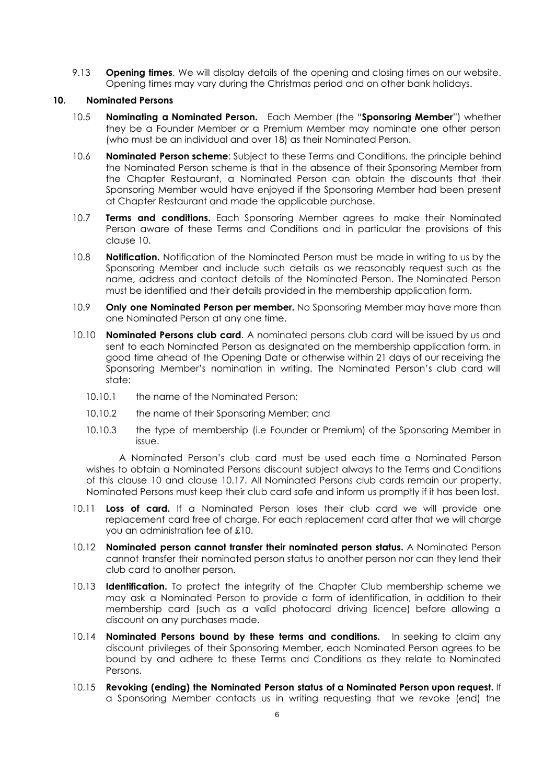9.13 **Opening times**. We will display details of the opening and closing times on our website. Opening times may vary during the Christmas period and on other bank holidays.

### **10. Nominated Persons**

- 10.5 **Nominating a Nominated Person.** Each Member (the "**Sponsoring Member**") whether they be a Founder Member or a Premium Member may nominate one other person (who must be an individual and over 18) as their Nominated Person.
- 10.6 **Nominated Person scheme**: Subject to these Terms and Conditions, the principle behind the Nominated Person scheme is that in the absence of their Sponsoring Member from the Chapter Restaurant, a Nominated Person can obtain the discounts that their Sponsoring Member would have enjoyed if the Sponsoring Member had been present at Chapter Restaurant and made the applicable purchase.
- 10.7 **Terms and conditions.** Each Sponsoring Member agrees to make their Nominated Person aware of these Terms and Conditions and in particular the provisions of this clause 10.
- 10.8 **Notification.** Notification of the Nominated Person must be made in writing to us by the Sponsoring Member and include such details as we reasonably request such as the name, address and contact details of the Nominated Person. The Nominated Person must be identified and their details provided in the membership application form.
- 10.9 **Only one Nominated Person per member.** No Sponsoring Member may have more than one Nominated Person at any one time.
- 10.10 **Nominated Persons club card**. A nominated persons club card will be issued by us and sent to each Nominated Person as designated on the membership application form, in good time ahead of the Opening Date or otherwise within 21 days of our receiving the Sponsoring Member's nomination in writing. The Nominated Person's club card will state:
	- 10.10.1 the name of the Nominated Person:
	- 10.10.2 the name of their Sponsoring Member; and
	- 10.10.3 the type of membership (i.e Founder or Premium) of the Sponsoring Member in issue.

A Nominated Person's club card must be used each time a Nominated Person wishes to obtain a Nominated Persons discount subject always to the Terms and Conditions of this clause 10 and clause 10.17. All Nominated Persons club cards remain our property. Nominated Persons must keep their club card safe and inform us promptly if it has been lost.

- 10.11 **Loss of card.** If a Nominated Person loses their club card we will provide one replacement card free of charge. For each replacement card after that we will charge you an administration fee of £10.
- 10.12 **Nominated person cannot transfer their nominated person status.** A Nominated Person cannot transfer their nominated person status to another person nor can they lend their club card to another person.
- 10.13 **Identification.** To protect the integrity of the Chapter Club membership scheme we may ask a Nominated Person to provide a form of identification, in addition to their membership card (such as a valid photocard driving licence) before allowing a discount on any purchases made.
- 10.14 **Nominated Persons bound by these terms and conditions.** In seeking to claim any discount privileges of their Sponsoring Member, each Nominated Person agrees to be bound by and adhere to these Terms and Conditions as they relate to Nominated Persons.
- 10.15 **Revoking (ending) the Nominated Person status of a Nominated Person upon request.** If a Sponsoring Member contacts us in writing requesting that we revoke (end) the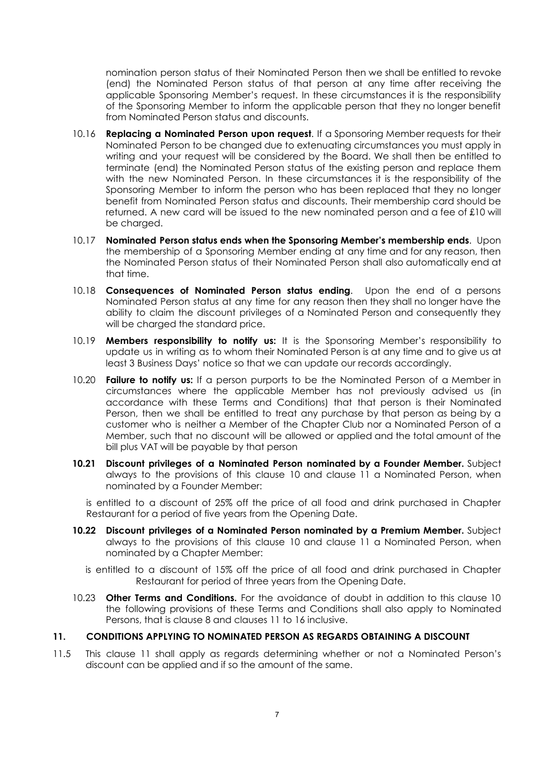nomination person status of their Nominated Person then we shall be entitled to revoke (end) the Nominated Person status of that person at any time after receiving the applicable Sponsoring Member's request. In these circumstances it is the responsibility of the Sponsoring Member to inform the applicable person that they no longer benefit from Nominated Person status and discounts.

- 10.16 **Replacing a Nominated Person upon request**. If a Sponsoring Member requests for their Nominated Person to be changed due to extenuating circumstances you must apply in writing and your request will be considered by the Board. We shall then be entitled to terminate (end) the Nominated Person status of the existing person and replace them with the new Nominated Person. In these circumstances it is the responsibility of the Sponsoring Member to inform the person who has been replaced that they no longer benefit from Nominated Person status and discounts. Their membership card should be returned. A new card will be issued to the new nominated person and a fee of £10 will be charged.
- 10.17 **Nominated Person status ends when the Sponsoring Member's membership ends**. Upon the membership of a Sponsoring Member ending at any time and for any reason, then the Nominated Person status of their Nominated Person shall also automatically end at that time.
- 10.18 **Consequences of Nominated Person status ending**. Upon the end of a persons Nominated Person status at any time for any reason then they shall no longer have the ability to claim the discount privileges of a Nominated Person and consequently they will be charged the standard price.
- 10.19 **Members responsibility to notify us:** It is the Sponsoring Member's responsibility to update us in writing as to whom their Nominated Person is at any time and to give us at least 3 Business Days' notice so that we can update our records accordingly.
- 10.20 **Failure to notify us:** If a person purports to be the Nominated Person of a Member in circumstances where the applicable Member has not previously advised us (in accordance with these Terms and Conditions) that that person is their Nominated Person, then we shall be entitled to treat any purchase by that person as being by a customer who is neither a Member of the Chapter Club nor a Nominated Person of a Member, such that no discount will be allowed or applied and the total amount of the bill plus VAT will be payable by that person
- **10.21 Discount privileges of a Nominated Person nominated by a Founder Member.** Subject always to the provisions of this clause 10 and clause 11 a Nominated Person, when nominated by a Founder Member:

is entitled to a discount of 25% off the price of all food and drink purchased in Chapter Restaurant for a period of five years from the Opening Date.

- **10.22 Discount privileges of a Nominated Person nominated by a Premium Member.** Subject always to the provisions of this clause 10 and clause 11 a Nominated Person, when nominated by a Chapter Member:
	- is entitled to a discount of 15% off the price of all food and drink purchased in Chapter Restaurant for period of three years from the Opening Date.
- 10.23 **Other Terms and Conditions.** For the avoidance of doubt in addition to this clause 10 the following provisions of these Terms and Conditions shall also apply to Nominated Persons, that is clause 8 and clauses 11 to 16 inclusive.

## **11. CONDITIONS APPLYING TO NOMINATED PERSON AS REGARDS OBTAINING A DISCOUNT**

11.5 This clause 11 shall apply as regards determining whether or not a Nominated Person's discount can be applied and if so the amount of the same.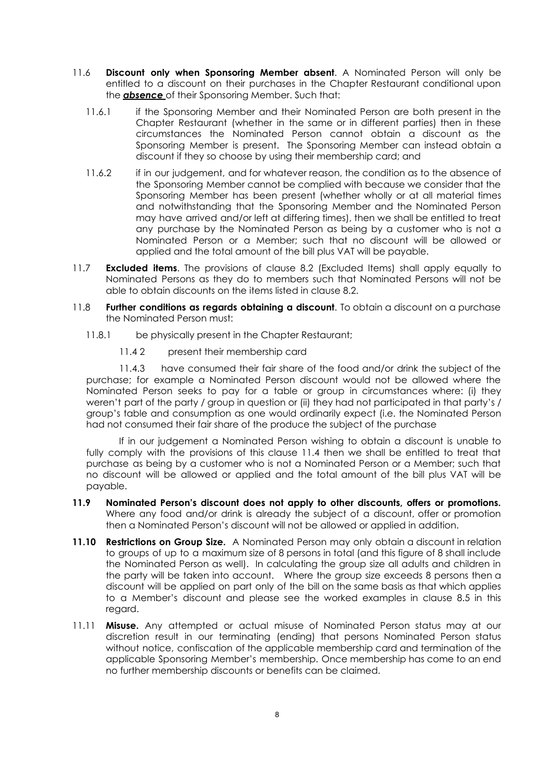- 11.6 **Discount only when Sponsoring Member absent**. A Nominated Person will only be entitled to a discount on their purchases in the Chapter Restaurant conditional upon the *absence* of their Sponsoring Member. Such that:
	- 11.6.1 if the Sponsoring Member and their Nominated Person are both present in the Chapter Restaurant (whether in the same or in different parties) then in these circumstances the Nominated Person cannot obtain a discount as the Sponsoring Member is present. The Sponsoring Member can instead obtain a discount if they so choose by using their membership card; and
	- 11.6.2 if in our judgement, and for whatever reason, the condition as to the absence of the Sponsoring Member cannot be complied with because we consider that the Sponsoring Member has been present (whether wholly or at all material times and notwithstanding that the Sponsoring Member and the Nominated Person may have arrived and/or left at differing times), then we shall be entitled to treat any purchase by the Nominated Person as being by a customer who is not a Nominated Person or a Member; such that no discount will be allowed or applied and the total amount of the bill plus VAT will be payable.
- 11.7 **Excluded items**. The provisions of clause 8.2 (Excluded Items) shall apply equally to Nominated Persons as they do to members such that Nominated Persons will not be able to obtain discounts on the items listed in clause 8.2.
- 11.8 **Further conditions as regards obtaining a discount**. To obtain a discount on a purchase the Nominated Person must:
	- 11.8.1 be physically present in the Chapter Restaurant;
		- 11.4 2 present their membership card

11.4.3 have consumed their fair share of the food and/or drink the subject of the purchase; for example a Nominated Person discount would not be allowed where the Nominated Person seeks to pay for a table or group in circumstances where: (i) they weren't part of the party / group in question or (ii) they had not participated in that party's / group's table and consumption as one would ordinarily expect (i.e. the Nominated Person had not consumed their fair share of the produce the subject of the purchase

If in our judgement a Nominated Person wishing to obtain a discount is unable to fully comply with the provisions of this clause 11.4 then we shall be entitled to treat that purchase as being by a customer who is not a Nominated Person or a Member; such that no discount will be allowed or applied and the total amount of the bill plus VAT will be payable.

- **11.9 Nominated Person's discount does not apply to other discounts, offers or promotions.** Where any food and/or drink is already the subject of a discount, offer or promotion then a Nominated Person's discount will not be allowed or applied in addition.
- **11.10 Restrictions on Group Size.** A Nominated Person may only obtain a discount in relation to groups of up to a maximum size of 8 persons in total (and this figure of 8 shall include the Nominated Person as well). In calculating the group size all adults and children in the party will be taken into account. Where the group size exceeds 8 persons then a discount will be applied on part only of the bill on the same basis as that which applies to a Member's discount and please see the worked examples in clause 8.5 in this regard.
- 11.11 **Misuse.** Any attempted or actual misuse of Nominated Person status may at our discretion result in our terminating (ending) that persons Nominated Person status without notice, confiscation of the applicable membership card and termination of the applicable Sponsoring Member's membership. Once membership has come to an end no further membership discounts or benefits can be claimed.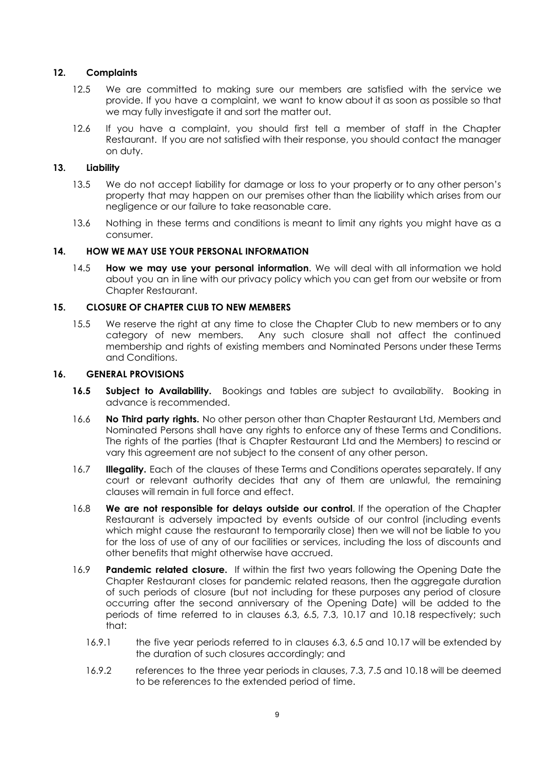### **12. Complaints**

- 12.5 We are committed to making sure our members are satisfied with the service we provide. If you have a complaint, we want to know about it as soon as possible so that we may fully investigate it and sort the matter out.
- 12.6 If you have a complaint, you should first tell a member of staff in the Chapter Restaurant. If you are not satisfied with their response, you should contact the manager on duty.

### **13. Liability**

- 13.5 We do not accept liability for damage or loss to your property or to any other person's property that may happen on our premises other than the liability which arises from our negligence or our failure to take reasonable care.
- 13.6 Nothing in these terms and conditions is meant to limit any rights you might have as a consumer.

### **14. HOW WE MAY USE YOUR PERSONAL INFORMATION**

14.5 **How we may use your personal information**. We will deal with all information we hold about you an in line with our privacy policy which you can get from our website or from Chapter Restaurant.

### **15. CLOSURE OF CHAPTER CLUB TO NEW MEMBERS**

15.5 We reserve the right at any time to close the Chapter Club to new members or to any category of new members. Any such closure shall not affect the continued membership and rights of existing members and Nominated Persons under these Terms and Conditions.

### **16. GENERAL PROVISIONS**

- **16.5 Subject to Availability.** Bookings and tables are subject to availability. Booking in advance is recommended.
- 16.6 **No Third party rights.** No other person other than Chapter Restaurant Ltd, Members and Nominated Persons shall have any rights to enforce any of these Terms and Conditions. The rights of the parties (that is Chapter Restaurant Ltd and the Members) to rescind or vary this agreement are not subject to the consent of any other person.
- 16.7 **Illegality.** Each of the clauses of these Terms and Conditions operates separately. If any court or relevant authority decides that any of them are unlawful, the remaining clauses will remain in full force and effect.
- 16.8 **We are not responsible for delays outside our control**. If the operation of the Chapter Restaurant is adversely impacted by events outside of our control (including events which might cause the restaurant to temporarily close) then we will not be liable to you for the loss of use of any of our facilities or services, including the loss of discounts and other benefits that might otherwise have accrued.
- 16.9 **Pandemic related closure.** If within the first two years following the Opening Date the Chapter Restaurant closes for pandemic related reasons, then the aggregate duration of such periods of closure (but not including for these purposes any period of closure occurring after the second anniversary of the Opening Date) will be added to the periods of time referred to in clauses 6.3, 6.5, 7.3, 10.17 and 10.18 respectively; such that:
	- 16.9.1 the five year periods referred to in clauses 6.3, 6.5 and 10.17 will be extended by the duration of such closures accordingly; and
	- 16.9.2 references to the three year periods in clauses, 7.3, 7.5 and 10.18 will be deemed to be references to the extended period of time.